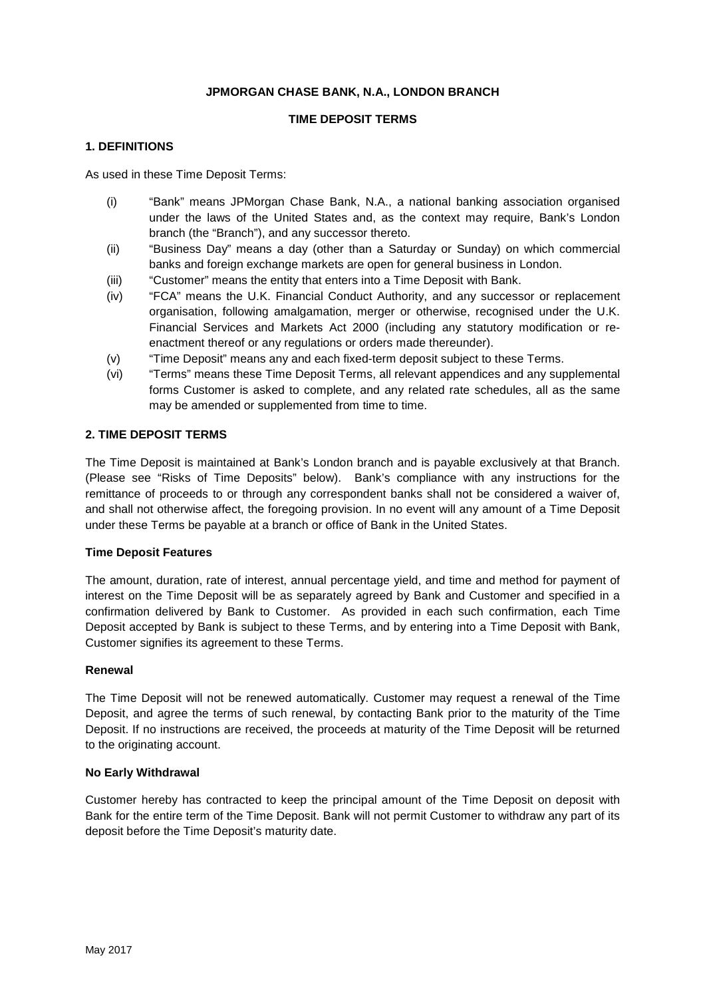### **JPMORGAN CHASE BANK, N.A., LONDON BRANCH**

### **TIME DEPOSIT TERMS**

#### **1. DEFINITIONS**

As used in these Time Deposit Terms:

- (i) "Bank" means JPMorgan Chase Bank, N.A., a national banking association organised under the laws of the United States and, as the context may require, Bank's London branch (the "Branch"), and any successor thereto.
- (ii) "Business Day" means a day (other than a Saturday or Sunday) on which commercial banks and foreign exchange markets are open for general business in London.
- (iii) "Customer" means the entity that enters into a Time Deposit with Bank.
- (iv) "FCA" means the U.K. Financial Conduct Authority, and any successor or replacement organisation, following amalgamation, merger or otherwise, recognised under the U.K. Financial Services and Markets Act 2000 (including any statutory modification or reenactment thereof or any regulations or orders made thereunder).
- (v) "Time Deposit" means any and each fixed-term deposit subject to these Terms.
- (vi) "Terms" means these Time Deposit Terms, all relevant appendices and any supplemental forms Customer is asked to complete, and any related rate schedules, all as the same may be amended or supplemented from time to time.

# **2. TIME DEPOSIT TERMS**

The Time Deposit is maintained at Bank's London branch and is payable exclusively at that Branch. (Please see "Risks of Time Deposits" below). Bank's compliance with any instructions for the remittance of proceeds to or through any correspondent banks shall not be considered a waiver of, and shall not otherwise affect, the foregoing provision. In no event will any amount of a Time Deposit under these Terms be payable at a branch or office of Bank in the United States.

#### **Time Deposit Features**

The amount, duration, rate of interest, annual percentage yield, and time and method for payment of interest on the Time Deposit will be as separately agreed by Bank and Customer and specified in a confirmation delivered by Bank to Customer. As provided in each such confirmation, each Time Deposit accepted by Bank is subject to these Terms, and by entering into a Time Deposit with Bank, Customer signifies its agreement to these Terms.

#### **Renewal**

The Time Deposit will not be renewed automatically. Customer may request a renewal of the Time Deposit, and agree the terms of such renewal, by contacting Bank prior to the maturity of the Time Deposit. If no instructions are received, the proceeds at maturity of the Time Deposit will be returned to the originating account.

### **No Early Withdrawal**

Customer hereby has contracted to keep the principal amount of the Time Deposit on deposit with Bank for the entire term of the Time Deposit. Bank will not permit Customer to withdraw any part of its deposit before the Time Deposit's maturity date.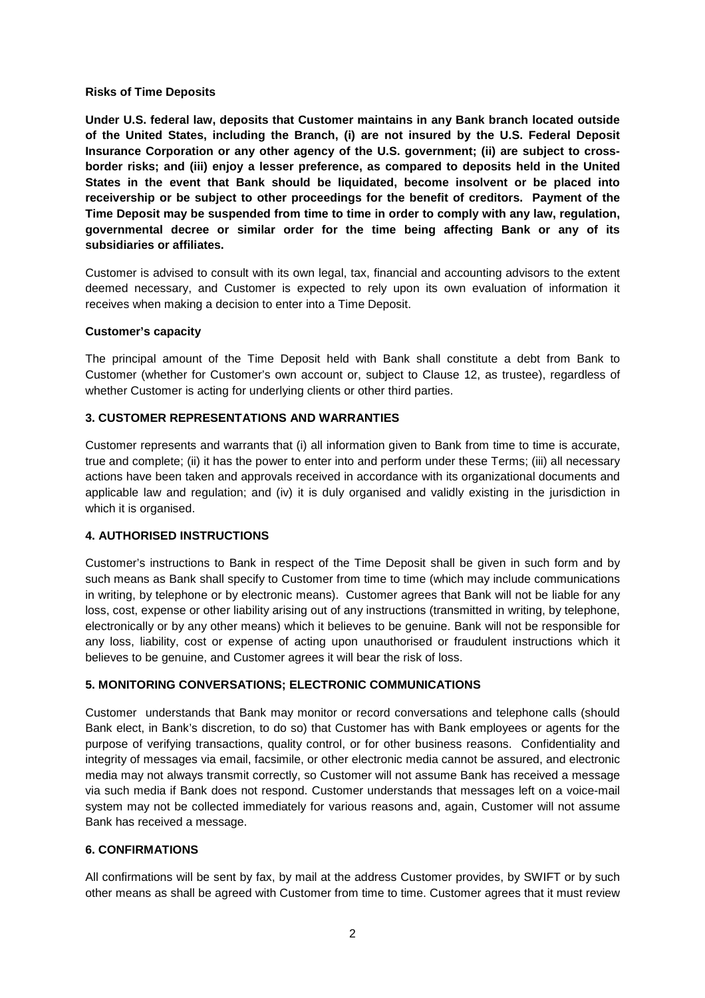#### **Risks of Time Deposits**

**Under U.S. federal law, deposits that Customer maintains in any Bank branch located outside of the United States, including the Branch, (i) are not insured by the U.S. Federal Deposit Insurance Corporation or any other agency of the U.S. government; (ii) are subject to crossborder risks; and (iii) enjoy a lesser preference, as compared to deposits held in the United States in the event that Bank should be liquidated, become insolvent or be placed into receivership or be subject to other proceedings for the benefit of creditors. Payment of the Time Deposit may be suspended from time to time in order to comply with any law, regulation, governmental decree or similar order for the time being affecting Bank or any of its subsidiaries or affiliates.** 

Customer is advised to consult with its own legal, tax, financial and accounting advisors to the extent deemed necessary, and Customer is expected to rely upon its own evaluation of information it receives when making a decision to enter into a Time Deposit.

#### **Customer's capacity**

The principal amount of the Time Deposit held with Bank shall constitute a debt from Bank to Customer (whether for Customer's own account or, subject to Clause 12, as trustee), regardless of whether Customer is acting for underlying clients or other third parties.

### **3. CUSTOMER REPRESENTATIONS AND WARRANTIES**

Customer represents and warrants that (i) all information given to Bank from time to time is accurate, true and complete; (ii) it has the power to enter into and perform under these Terms; (iii) all necessary actions have been taken and approvals received in accordance with its organizational documents and applicable law and regulation; and (iv) it is duly organised and validly existing in the jurisdiction in which it is organised.

### **4. AUTHORISED INSTRUCTIONS**

Customer's instructions to Bank in respect of the Time Deposit shall be given in such form and by such means as Bank shall specify to Customer from time to time (which may include communications in writing, by telephone or by electronic means). Customer agrees that Bank will not be liable for any loss, cost, expense or other liability arising out of any instructions (transmitted in writing, by telephone, electronically or by any other means) which it believes to be genuine. Bank will not be responsible for any loss, liability, cost or expense of acting upon unauthorised or fraudulent instructions which it believes to be genuine, and Customer agrees it will bear the risk of loss.

### **5. MONITORING CONVERSATIONS; ELECTRONIC COMMUNICATIONS**

Customer understands that Bank may monitor or record conversations and telephone calls (should Bank elect, in Bank's discretion, to do so) that Customer has with Bank employees or agents for the purpose of verifying transactions, quality control, or for other business reasons. Confidentiality and integrity of messages via email, facsimile, or other electronic media cannot be assured, and electronic media may not always transmit correctly, so Customer will not assume Bank has received a message via such media if Bank does not respond. Customer understands that messages left on a voice-mail system may not be collected immediately for various reasons and, again, Customer will not assume Bank has received a message.

### **6. CONFIRMATIONS**

All confirmations will be sent by fax, by mail at the address Customer provides, by SWIFT or by such other means as shall be agreed with Customer from time to time. Customer agrees that it must review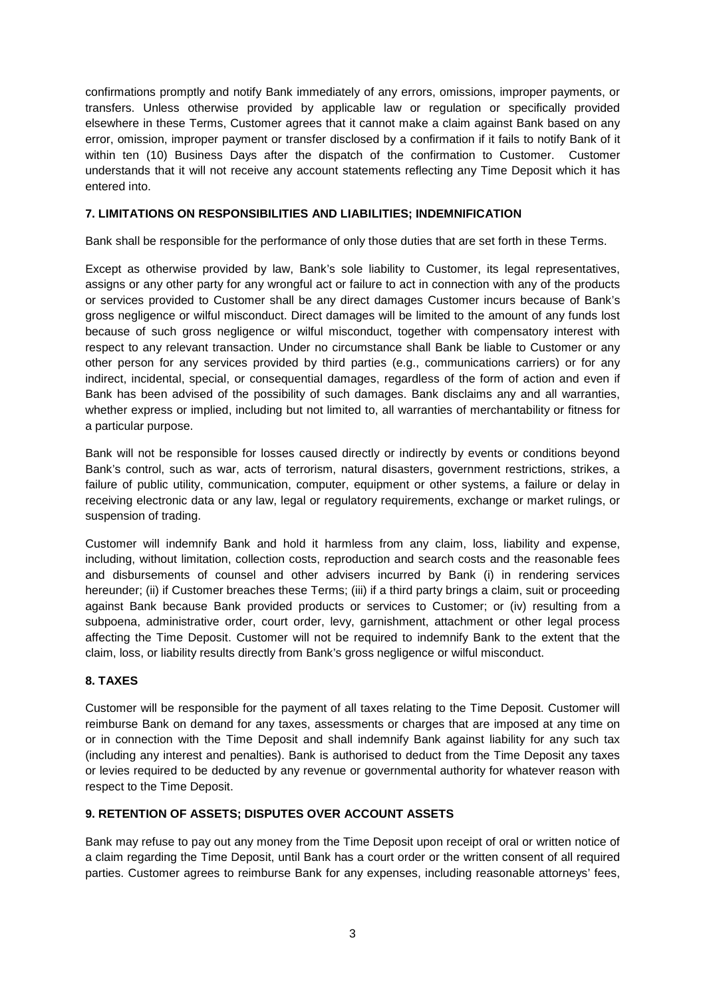confirmations promptly and notify Bank immediately of any errors, omissions, improper payments, or transfers. Unless otherwise provided by applicable law or regulation or specifically provided elsewhere in these Terms, Customer agrees that it cannot make a claim against Bank based on any error, omission, improper payment or transfer disclosed by a confirmation if it fails to notify Bank of it within ten (10) Business Days after the dispatch of the confirmation to Customer. Customer understands that it will not receive any account statements reflecting any Time Deposit which it has entered into.

### **7. LIMITATIONS ON RESPONSIBILITIES AND LIABILITIES; INDEMNIFICATION**

Bank shall be responsible for the performance of only those duties that are set forth in these Terms.

Except as otherwise provided by law, Bank's sole liability to Customer, its legal representatives, assigns or any other party for any wrongful act or failure to act in connection with any of the products or services provided to Customer shall be any direct damages Customer incurs because of Bank's gross negligence or wilful misconduct. Direct damages will be limited to the amount of any funds lost because of such gross negligence or wilful misconduct, together with compensatory interest with respect to any relevant transaction. Under no circumstance shall Bank be liable to Customer or any other person for any services provided by third parties (e.g., communications carriers) or for any indirect, incidental, special, or consequential damages, regardless of the form of action and even if Bank has been advised of the possibility of such damages. Bank disclaims any and all warranties, whether express or implied, including but not limited to, all warranties of merchantability or fitness for a particular purpose.

Bank will not be responsible for losses caused directly or indirectly by events or conditions beyond Bank's control, such as war, acts of terrorism, natural disasters, government restrictions, strikes, a failure of public utility, communication, computer, equipment or other systems, a failure or delay in receiving electronic data or any law, legal or regulatory requirements, exchange or market rulings, or suspension of trading.

Customer will indemnify Bank and hold it harmless from any claim, loss, liability and expense, including, without limitation, collection costs, reproduction and search costs and the reasonable fees and disbursements of counsel and other advisers incurred by Bank (i) in rendering services hereunder; (ii) if Customer breaches these Terms; (iii) if a third party brings a claim, suit or proceeding against Bank because Bank provided products or services to Customer; or (iv) resulting from a subpoena, administrative order, court order, levy, garnishment, attachment or other legal process affecting the Time Deposit. Customer will not be required to indemnify Bank to the extent that the claim, loss, or liability results directly from Bank's gross negligence or wilful misconduct.

### **8. TAXES**

Customer will be responsible for the payment of all taxes relating to the Time Deposit. Customer will reimburse Bank on demand for any taxes, assessments or charges that are imposed at any time on or in connection with the Time Deposit and shall indemnify Bank against liability for any such tax (including any interest and penalties). Bank is authorised to deduct from the Time Deposit any taxes or levies required to be deducted by any revenue or governmental authority for whatever reason with respect to the Time Deposit.

### **9. RETENTION OF ASSETS; DISPUTES OVER ACCOUNT ASSETS**

Bank may refuse to pay out any money from the Time Deposit upon receipt of oral or written notice of a claim regarding the Time Deposit, until Bank has a court order or the written consent of all required parties. Customer agrees to reimburse Bank for any expenses, including reasonable attorneys' fees,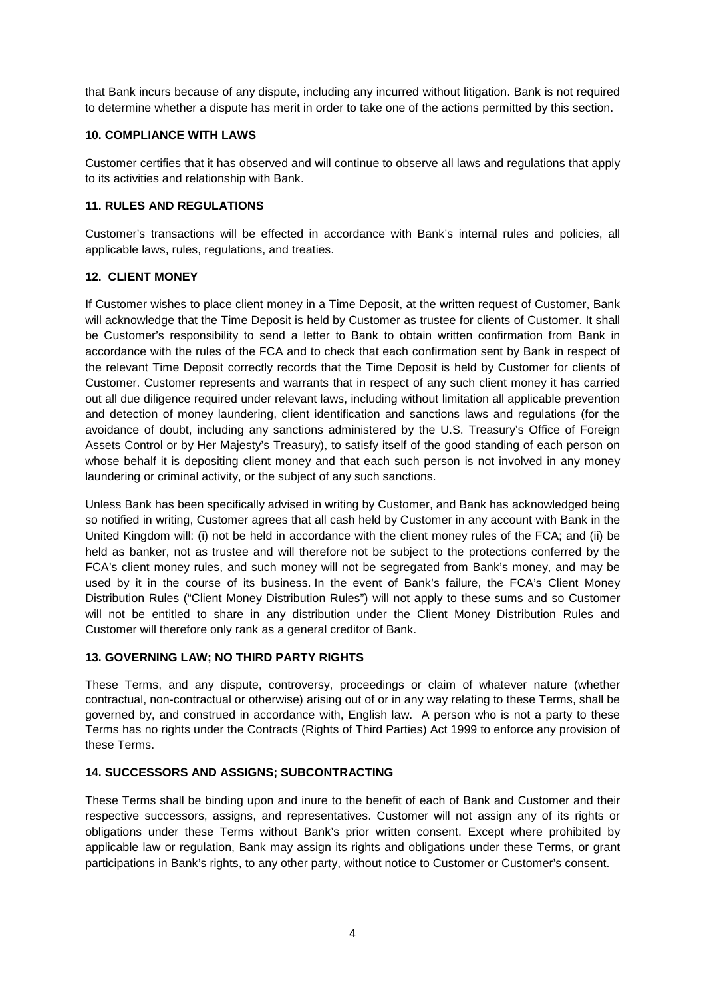that Bank incurs because of any dispute, including any incurred without litigation. Bank is not required to determine whether a dispute has merit in order to take one of the actions permitted by this section.

### **10. COMPLIANCE WITH LAWS**

Customer certifies that it has observed and will continue to observe all laws and regulations that apply to its activities and relationship with Bank.

## **11. RULES AND REGULATIONS**

Customer's transactions will be effected in accordance with Bank's internal rules and policies, all applicable laws, rules, regulations, and treaties.

## **12. CLIENT MONEY**

If Customer wishes to place client money in a Time Deposit, at the written request of Customer, Bank will acknowledge that the Time Deposit is held by Customer as trustee for clients of Customer. It shall be Customer's responsibility to send a letter to Bank to obtain written confirmation from Bank in accordance with the rules of the FCA and to check that each confirmation sent by Bank in respect of the relevant Time Deposit correctly records that the Time Deposit is held by Customer for clients of Customer. Customer represents and warrants that in respect of any such client money it has carried out all due diligence required under relevant laws, including without limitation all applicable prevention and detection of money laundering, client identification and sanctions laws and regulations (for the avoidance of doubt, including any sanctions administered by the U.S. Treasury's Office of Foreign Assets Control or by Her Majesty's Treasury), to satisfy itself of the good standing of each person on whose behalf it is depositing client money and that each such person is not involved in any money laundering or criminal activity, or the subject of any such sanctions.

Unless Bank has been specifically advised in writing by Customer, and Bank has acknowledged being so notified in writing, Customer agrees that all cash held by Customer in any account with Bank in the United Kingdom will: (i) not be held in accordance with the client money rules of the FCA; and (ii) be held as banker, not as trustee and will therefore not be subject to the protections conferred by the FCA's client money rules, and such money will not be segregated from Bank's money, and may be used by it in the course of its business. In the event of Bank's failure, the FCA's Client Money Distribution Rules ("Client Money Distribution Rules") will not apply to these sums and so Customer will not be entitled to share in any distribution under the Client Money Distribution Rules and Customer will therefore only rank as a general creditor of Bank.

### **13. GOVERNING LAW; NO THIRD PARTY RIGHTS**

These Terms, and any dispute, controversy, proceedings or claim of whatever nature (whether contractual, non-contractual or otherwise) arising out of or in any way relating to these Terms, shall be governed by, and construed in accordance with, English law. A person who is not a party to these Terms has no rights under the Contracts (Rights of Third Parties) Act 1999 to enforce any provision of these Terms.

# **14. SUCCESSORS AND ASSIGNS; SUBCONTRACTING**

These Terms shall be binding upon and inure to the benefit of each of Bank and Customer and their respective successors, assigns, and representatives. Customer will not assign any of its rights or obligations under these Terms without Bank's prior written consent. Except where prohibited by applicable law or regulation, Bank may assign its rights and obligations under these Terms, or grant participations in Bank's rights, to any other party, without notice to Customer or Customer's consent.